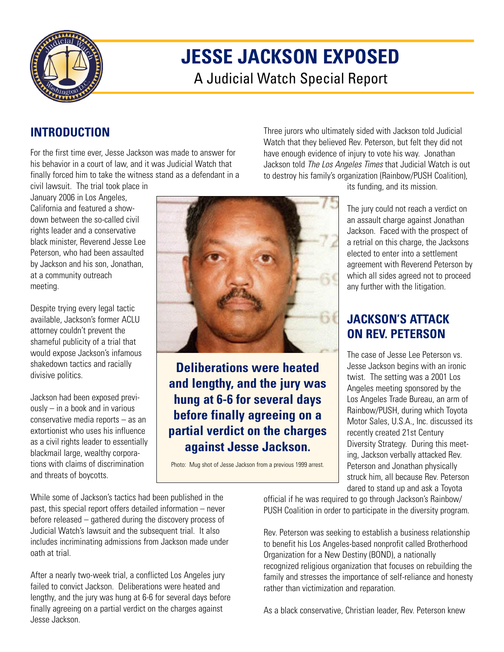

# **JESSE JACKSON EXPOSED**

A Judicial Watch Special Report

## **INTRODUCTION**

For the first time ever, Jesse Jackson was made to answer for his behavior in a court of law, and it was Judicial Watch that finally forced him to take the witness stand as a defendant in a

civil lawsuit. The trial took place in January 2006 in Los Angeles, California and featured a showdown between the so-called civil rights leader and a conservative black minister, Reverend Jesse Lee Peterson, who had been assaulted by Jackson and his son, Jonathan, at a community outreach meeting.

Despite trying every legal tactic available, Jackson's former ACLU attorney couldn't prevent the shameful publicity of a trial that would expose Jackson's infamous shakedown tactics and racially divisive politics.

Jackson had been exposed previously – in a book and in various conservative media reports – as an extortionist who uses his influence as a civil rights leader to essentially blackmail large, wealthy corporations with claims of discrimination and threats of boycotts.



**Deliberations were heated and lengthy, and the jury was hung at 6-6 for several days before finally agreeing on a partial verdict on the charges against Jesse Jackson.**

Photo: Mug shot of Jesse Jackson from a previous 1999 arrest.

its funding, and its mission.

Three jurors who ultimately sided with Jackson told Judicial Watch that they believed Rev. Peterson, but felt they did not have enough evidence of injury to vote his way. Jonathan Jackson told *The Los Angeles Times* that Judicial Watch is out to destroy his family's organization (Rainbow/PUSH Coalition),

> The jury could not reach a verdict on an assault charge against Jonathan Jackson. Faced with the prospect of a retrial on this charge, the Jacksons elected to enter into a settlement agreement with Reverend Peterson by which all sides agreed not to proceed any further with the litigation.

## **JACKSON'S ATTACK ON REV. PETERSON**

The case of Jesse Lee Peterson vs. Jesse Jackson begins with an ironic twist. The setting was a 2001 Los Angeles meeting sponsored by the Los Angeles Trade Bureau, an arm of Rainbow/PUSH, during which Toyota Motor Sales, U.S.A., Inc. discussed its recently created 21st Century Diversity Strategy. During this meeting, Jackson verbally attacked Rev. Peterson and Jonathan physically struck him, all because Rev. Peterson dared to stand up and ask a Toyota

While some of Jackson's tactics had been published in the past, this special report offers detailed information – never before released – gathered during the discovery process of Judicial Watch's lawsuit and the subsequent trial. It also includes incriminating admissions from Jackson made under oath at trial.

After a nearly two-week trial, a conflicted Los Angeles jury failed to convict Jackson. Deliberations were heated and lengthy, and the jury was hung at 6-6 for several days before finally agreeing on a partial verdict on the charges against Jesse Jackson.

official if he was required to go through Jackson's Rainbow/ PUSH Coalition in order to participate in the diversity program.

Rev. Peterson was seeking to establish a business relationship to benefit his Los Angeles-based nonprofit called Brotherhood Organization for a New Destiny (BOND), a nationally recognized religious organization that focuses on rebuilding the family and stresses the importance of self-reliance and honesty rather than victimization and reparation.

As a black conservative, Christian leader, Rev. Peterson knew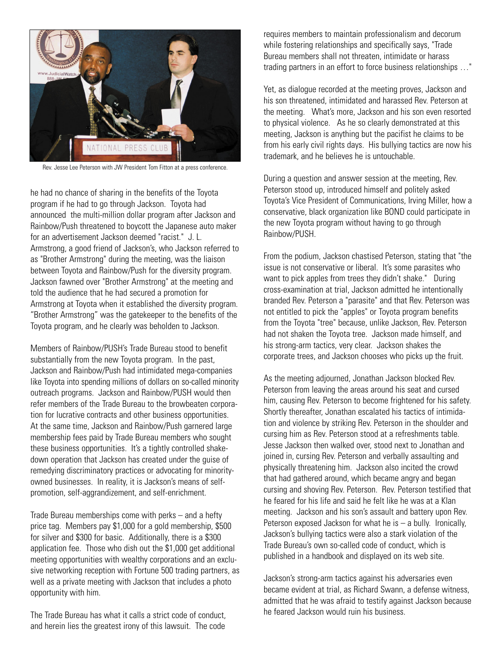

Rev. Jesse Lee Peterson with JW President Tom Fitton at a press conference.

he had no chance of sharing in the benefits of the Toyota program if he had to go through Jackson. Toyota had announced the multi-million dollar program after Jackson and Rainbow/Push threatened to boycott the Japanese auto maker for an advertisement Jackson deemed "racist." J. L. Armstrong, a good friend of Jackson's, who Jackson referred to as "Brother Armstrong" during the meeting, was the liaison between Toyota and Rainbow/Push for the diversity program. Jackson fawned over "Brother Armstrong" at the meeting and told the audience that he had secured a promotion for Armstrong at Toyota when it established the diversity program. "Brother Armstrong" was the gatekeeper to the benefits of the Toyota program, and he clearly was beholden to Jackson.

Members of Rainbow/PUSH's Trade Bureau stood to benefit substantially from the new Toyota program. In the past, Jackson and Rainbow/Push had intimidated mega-companies like Toyota into spending millions of dollars on so-called minority outreach programs. Jackson and Rainbow/PUSH would then refer members of the Trade Bureau to the browbeaten corporation for lucrative contracts and other business opportunities. At the same time, Jackson and Rainbow/Push garnered large membership fees paid by Trade Bureau members who sought these business opportunities. It's a tightly controlled shakedown operation that Jackson has created under the guise of remedying discriminatory practices or advocating for minorityowned businesses. In reality, it is Jackson's means of selfpromotion, self-aggrandizement, and self-enrichment.

Trade Bureau memberships come with perks – and a hefty price tag. Members pay \$1,000 for a gold membership, \$500 for silver and \$300 for basic. Additionally, there is a \$300 application fee. Those who dish out the \$1,000 get additional meeting opportunities with wealthy corporations and an exclusive networking reception with Fortune 500 trading partners, as well as a private meeting with Jackson that includes a photo opportunity with him.

The Trade Bureau has what it calls a strict code of conduct, and herein lies the greatest irony of this lawsuit. The code requires members to maintain professionalism and decorum while fostering relationships and specifically says, "Trade Bureau members shall not threaten, intimidate or harass trading partners in an effort to force business relationships …"

Yet, as dialogue recorded at the meeting proves, Jackson and his son threatened, intimidated and harassed Rev. Peterson at the meeting. What's more, Jackson and his son even resorted to physical violence. As he so clearly demonstrated at this meeting, Jackson is anything but the pacifist he claims to be from his early civil rights days. His bullying tactics are now his trademark, and he believes he is untouchable.

During a question and answer session at the meeting, Rev. Peterson stood up, introduced himself and politely asked Toyota's Vice President of Communications, Irving Miller, how a conservative, black organization like BOND could participate in the new Toyota program without having to go through Rainbow/PUSH.

From the podium, Jackson chastised Peterson, stating that "the issue is not conservative or liberal. It's some parasites who want to pick apples from trees they didn't shake." During cross-examination at trial, Jackson admitted he intentionally branded Rev. Peterson a "parasite" and that Rev. Peterson was not entitled to pick the "apples" or Toyota program benefits from the Toyota "tree" because, unlike Jackson, Rev. Peterson had not shaken the Toyota tree. Jackson made himself, and his strong-arm tactics, very clear. Jackson shakes the corporate trees, and Jackson chooses who picks up the fruit.

As the meeting adjourned, Jonathan Jackson blocked Rev. Peterson from leaving the areas around his seat and cursed him, causing Rev. Peterson to become frightened for his safety. Shortly thereafter, Jonathan escalated his tactics of intimidation and violence by striking Rev. Peterson in the shoulder and cursing him as Rev. Peterson stood at a refreshments table. Jesse Jackson then walked over, stood next to Jonathan and joined in, cursing Rev. Peterson and verbally assaulting and physically threatening him. Jackson also incited the crowd that had gathered around, which became angry and began cursing and shoving Rev. Peterson. Rev. Peterson testified that he feared for his life and said he felt like he was at a Klan meeting. Jackson and his son's assault and battery upon Rev. Peterson exposed Jackson for what he is  $-$  a bully. Ironically, Jackson's bullying tactics were also a stark violation of the Trade Bureau's own so-called code of conduct, which is published in a handbook and displayed on its web site.

Jackson's strong-arm tactics against his adversaries even became evident at trial, as Richard Swann, a defense witness, admitted that he was afraid to testify against Jackson because he feared Jackson would ruin his business.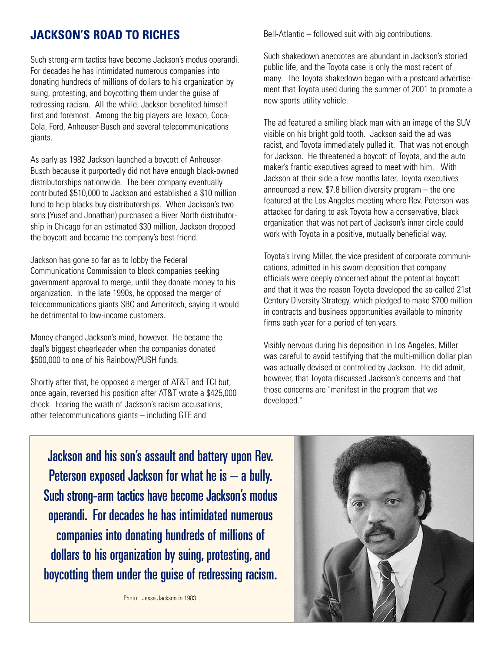### **JACKSON'S ROAD TO RICHES**

Such strong-arm tactics have become Jackson's modus operandi. For decades he has intimidated numerous companies into donating hundreds of millions of dollars to his organization by suing, protesting, and boycotting them under the guise of redressing racism. All the while, Jackson benefited himself first and foremost. Among the big players are Texaco, Coca-Cola, Ford, Anheuser-Busch and several telecommunications giants.

As early as 1982 Jackson launched a boycott of Anheuser-Busch because it purportedly did not have enough black-owned distributorships nationwide. The beer company eventually contributed \$510,000 to Jackson and established a \$10 million fund to help blacks buy distributorships. When Jackson's two sons (Yusef and Jonathan) purchased a River North distributorship in Chicago for an estimated \$30 million, Jackson dropped the boycott and became the company's best friend.

Jackson has gone so far as to lobby the Federal Communications Commission to block companies seeking government approval to merge, until they donate money to his organization. In the late 1990s, he opposed the merger of telecommunications giants SBC and Ameritech, saying it would be detrimental to low-income customers.

Money changed Jackson's mind, however. He became the deal's biggest cheerleader when the companies donated \$500,000 to one of his Rainbow/PUSH funds.

Shortly after that, he opposed a merger of AT&T and TCI but, once again, reversed his position after AT&T wrote a \$425,000 check. Fearing the wrath of Jackson's racism accusations, other telecommunications giants – including GTE and

Bell-Atlantic – followed suit with big contributions.

Such shakedown anecdotes are abundant in Jackson's storied public life, and the Toyota case is only the most recent of many. The Toyota shakedown began with a postcard advertisement that Toyota used during the summer of 2001 to promote a new sports utility vehicle.

The ad featured a smiling black man with an image of the SUV visible on his bright gold tooth. Jackson said the ad was racist, and Toyota immediately pulled it. That was not enough for Jackson. He threatened a boycott of Toyota, and the auto maker's frantic executives agreed to meet with him. With Jackson at their side a few months later, Toyota executives announced a new, \$7.8 billion diversity program – the one featured at the Los Angeles meeting where Rev. Peterson was attacked for daring to ask Toyota how a conservative, black organization that was not part of Jackson's inner circle could work with Toyota in a positive, mutually beneficial way.

Toyota's Irving Miller, the vice president of corporate communications, admitted in his sworn deposition that company officials were deeply concerned about the potential boycott and that it was the reason Toyota developed the so-called 21st Century Diversity Strategy, which pledged to make \$700 million in contracts and business opportunities available to minority firms each year for a period of ten years.

Visibly nervous during his deposition in Los Angeles, Miller was careful to avoid testifying that the multi-million dollar plan was actually devised or controlled by Jackson. He did admit, however, that Toyota discussed Jackson's concerns and that those concerns are "manifest in the program that we developed."

Jackson and his son's assault and battery upon Rev. Peterson exposed Jackson for what he is – a bully. Such strong-arm tactics have become Jackson's modus operandi. For decades he has intimidated numerous companies into donating hundreds of millions of dollars to his organization by suing, protesting, and boycotting them under the guise of redressing racism.

Photo: Jesse Jackson in 1983.

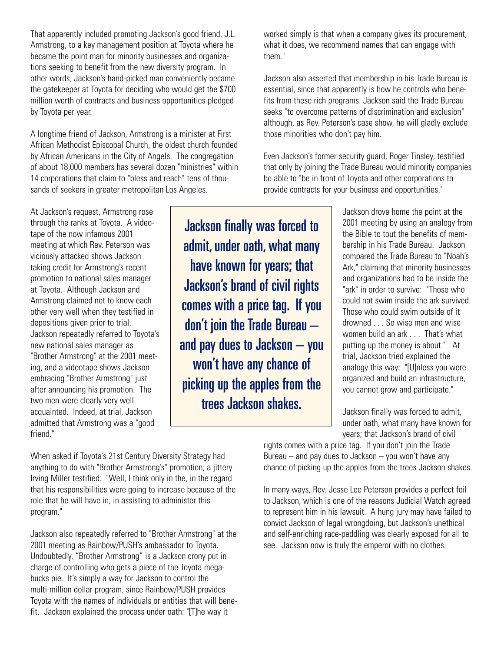That apparently included promoting Jackson's good friend, J.L. Armstrong, to a key management position at Toyota where he became the point man for minority businesses and organizations seeking to benefit from the new diversity program. In other words, Jackson's hand-picked man conveniently became the gatekeeper at Toyota for deciding who would get the \$700 million worth of contracts and business opportunities pledged by Toyota per year.

A longtime friend of Jackson, Armstrong is a minister at First African Methodist Episcopal Church, the oldest church founded by African Americans in the City of Angels. The congregation of about 18,000 members has several dozen "ministries" within 14 corporations that claim to "bless and reach" tens of thousands of seekers in greater metropolitan Los Angeles.

At Jackson's request, Armstrong rose through the ranks at Toyota. A videotape of the now infamous 2001 meeting at which Rev. Peterson was viciously attacked shows Jackson taking credit for Armstrong's recent promotion to national sales manager at Toyota. Although Jackson and Armstrong claimed not to know each other very well when they testified in depositions given prior to trial, Jackson repeatedly referred to Toyota's new national sales manager as "Brother Armstrong" at the 2001 meeting, and a videotape shows Jackson embracing "Brother Armstrong" just after announcing his promotion. The two men were clearly very well acquainted. Indeed, at trial, Jackson admitted that Armstrong was a "good friend."

Jackson finally was forced to admit, under oath, what many have known for years; that Jackson's brand of civil rights comes with a price tag. If you don't join the Trade Bureau – and pay dues to Jackson – you won't have any chance of picking up the apples from the trees Jackson shakes.

worked simply is that when a company gives its procurement, what it does, we recommend names that can engage with them."

Jackson also asserted that membership in his Trade Bureau is essential, since that apparently is how he controls who benefits from these rich programs. Jackson said the Trade Bureau seeks "to overcome patterns of discrimination and exclusion" although, as Rev. Peterson's case show, he will gladly exclude those minorities who don't pay him.

Even Jackson's former security guard, Roger Tinsley, testified that only by joining the Trade Bureau would minority companies be able to "be in front of Toyota and other corporations to provide contracts for your business and opportunities."

> Jackson drove home the point at the 2001 meeting by using an analogy from the Bible to tout the benefits of membership in his Trade Bureau. Jackson compared the Trade Bureau to "Noah's Ark," claiming that minority businesses and organizations had to be inside the "ark" in order to survive: "Those who could not swim inside the ark survived. Those who could swim outside of it drowned . . . So wise men and wise women build an ark . . . That's what putting up the money is about." At trial, Jackson tried explained the analogy this way: "[U]nless you were organized and build an infrastructure, you cannot grow and participate."

> Jackson finally was forced to admit, under oath, what many have known for years; that Jackson's brand of civil

When asked if Toyota's 21st Century Diversity Strategy had anything to do with "Brother Armstrong's" promotion, a jittery Irving Miller testified: "Well, I think only in the, in the regard that his responsibilities were going to increase because of the role that he will have in, in assisting to administer this program."

Jackson also repeatedly referred to "Brother Armstrong" at the 2001 meeting as Rainbow/PUSH's ambassador to Toyota. Undoubtedly, "Brother Armstrong" is a Jackson crony put in charge of controlling who gets a piece of the Toyota megabucks pie. It's simply a way for Jackson to control the multi-million dollar program, since Rainbow/PUSH provides Toyota with the names of individuals or entities that will benefit. Jackson explained the process under oath: "[T]he way it

rights comes with a price tag. If you don't join the Trade Bureau – and pay dues to Jackson – you won't have any chance of picking up the apples from the trees Jackson shakes.

In many ways, Rev. Jesse Lee Peterson provides a perfect foil to Jackson, which is one of the reasons Judicial Watch agreed to represent him in his lawsuit. A hung jury may have failed to convict Jackson of legal wrongdoing, but Jackson's unethical and self-enriching race-peddling was clearly exposed for all to see. Jackson now is truly the emperor with no clothes.